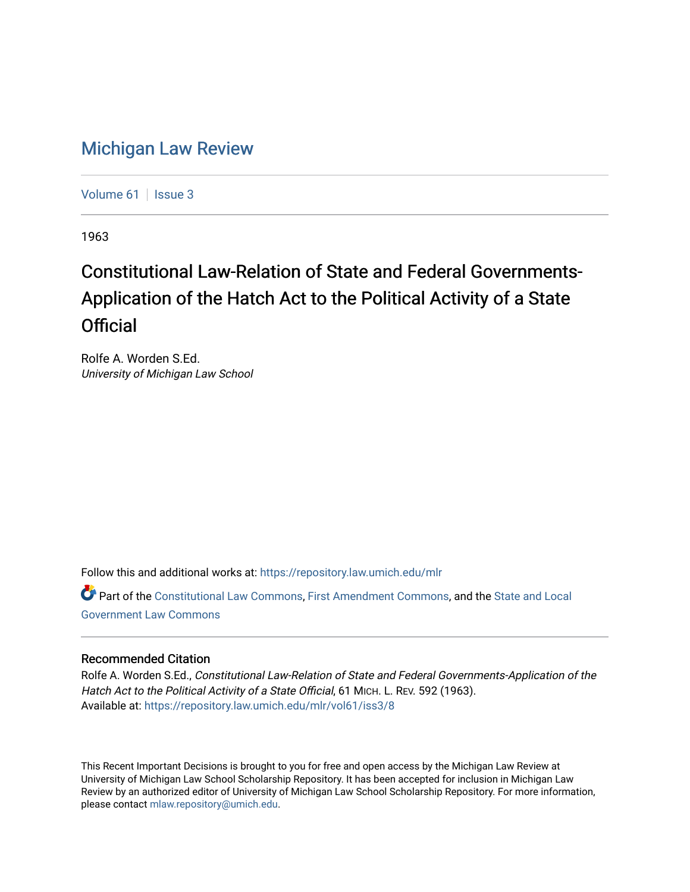## [Michigan Law Review](https://repository.law.umich.edu/mlr)

[Volume 61](https://repository.law.umich.edu/mlr/vol61) | [Issue 3](https://repository.law.umich.edu/mlr/vol61/iss3)

1963

## Constitutional Law-Relation of State and Federal Governments-Application of the Hatch Act to the Political Activity of a State **Official**

Rolfe A. Worden S.Ed. University of Michigan Law School

Follow this and additional works at: [https://repository.law.umich.edu/mlr](https://repository.law.umich.edu/mlr?utm_source=repository.law.umich.edu%2Fmlr%2Fvol61%2Fiss3%2F8&utm_medium=PDF&utm_campaign=PDFCoverPages) 

Part of the [Constitutional Law Commons,](http://network.bepress.com/hgg/discipline/589?utm_source=repository.law.umich.edu%2Fmlr%2Fvol61%2Fiss3%2F8&utm_medium=PDF&utm_campaign=PDFCoverPages) [First Amendment Commons,](http://network.bepress.com/hgg/discipline/1115?utm_source=repository.law.umich.edu%2Fmlr%2Fvol61%2Fiss3%2F8&utm_medium=PDF&utm_campaign=PDFCoverPages) and the [State and Local](http://network.bepress.com/hgg/discipline/879?utm_source=repository.law.umich.edu%2Fmlr%2Fvol61%2Fiss3%2F8&utm_medium=PDF&utm_campaign=PDFCoverPages)  [Government Law Commons](http://network.bepress.com/hgg/discipline/879?utm_source=repository.law.umich.edu%2Fmlr%2Fvol61%2Fiss3%2F8&utm_medium=PDF&utm_campaign=PDFCoverPages) 

## Recommended Citation

Rolfe A. Worden S.Ed., Constitutional Law-Relation of State and Federal Governments-Application of the Hatch Act to the Political Activity of a State Official, 61 MICH. L. REV. 592 (1963). Available at: [https://repository.law.umich.edu/mlr/vol61/iss3/8](https://repository.law.umich.edu/mlr/vol61/iss3/8?utm_source=repository.law.umich.edu%2Fmlr%2Fvol61%2Fiss3%2F8&utm_medium=PDF&utm_campaign=PDFCoverPages)

This Recent Important Decisions is brought to you for free and open access by the Michigan Law Review at University of Michigan Law School Scholarship Repository. It has been accepted for inclusion in Michigan Law Review by an authorized editor of University of Michigan Law School Scholarship Repository. For more information, please contact [mlaw.repository@umich.edu.](mailto:mlaw.repository@umich.edu)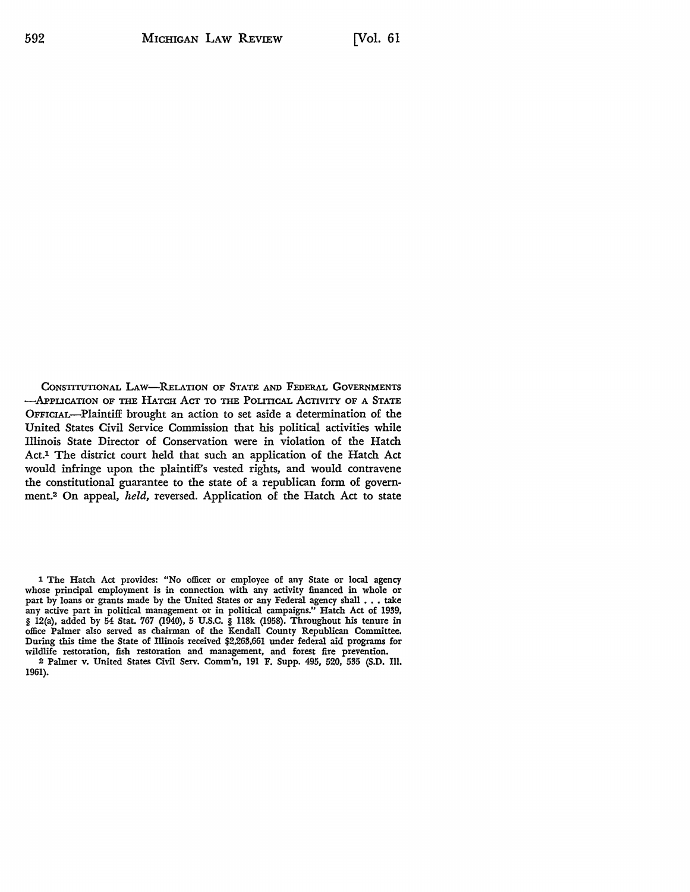CONSTITUTIONAL I.Aw-RELATION OF STATE AND FEDERAL GoVERNMENTS -APPLICATION OF THE HATCH ACT TO THE POLITICAL ACTIVITY OF A STATE OFFICIAL-Plaintiff brought an action to set aside a determination of the United States Civil Service Commission that his politicai activities while Illinois State Director of Conservation were in violation of the Hatch Act.1 The district court held that such an application of the Hatch Act would infringe upon the plaintiff's vested rights, and would contravene the constitutional guarantee to the state of a republican form of govemment.2 On appeal, lield, reversed. Application of the Hatch Act to **state** 

1 The Hatch Act provides: "No officer or employee of any State or local agency whose principal employment is in connection with any activity financed in whole or part by loans or grants made by the United States or any Federal agency shall . . . take any active part in political management or in political campaigns." Hatch Act of 1939, § 12(a), added by 54 Stat. 767 (1940), 5 U.S.C. § 118k (1958). Throughout his tenure in office Palmer also served as chairman of the Kendall County Republican Committee. During this time the State of Illinois received \$2.265,661 under federal aid programs for wildlife restoration, fish restoration and management, and forest fire prevention.

2 Palmer v. United States Civil Serv. Comm'n, 191 F. Supp. 495, 520, 555 (S.D. Ill, **1961).**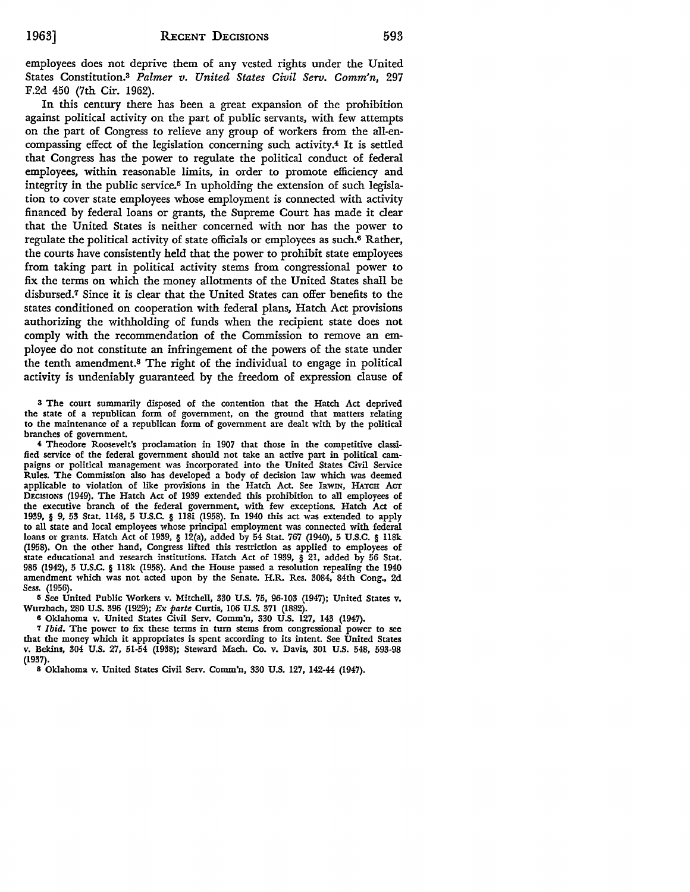employees does not deprive them of any vested rights under the United States Constitution.3 *Palmer v. United States Civil Sero. Comm'n,* 297 F.2d 450 (7th Cir. 1962).

In this century there has been a great expansion of the prohibition against political activity on the part of public servants, with few attempts on the part of Congress to relieve any group of workers from the all-encompassing effect of the legislation concerning such activity.4 It is settled that Congress has the power to regulate the political conduct of federal employees, within reasonable limits, in order to promote efficiency and integrity in the public service.<sup>5</sup> In upholding the extension of such legislation to cover state employees whose employment is connected with activity financed by federal loans or grants, the Supreme Court has made it clear that the United States is neither concerned with nor has the power to regulate the political activity of state officials or employees as such.6 Rather, the courts have consistently held that the power to prohibit state employees from taking part in political activity stems from congressional power to fix the terms on which the money allotments of the United States shall be disbursed.7 Since it is clear that the United States can offer benefits to the states conditioned on cooperation with federal plans, Hatch Act provisions authorizing the withholding of funds when the recipient state does not comply with the recommendation of the Commission to remove an employee do not constitute an infringement of the powers of the state under the tenth amendment.8 The right of the individual to engage in political activity is undeniably guaranteed by the freedom of expression clause of

<sup>3</sup>The court summarily disposed of the contention that the Hatch Act deprived the state of a republican form of government, on the ground that matters relating to the maintenance of a republican form of government are dealt with by the political branches of government.

4 Theodore Roosevelt's proclamation in 1907 that those in the competitive classified service of the federal government should not take an active part in political campaigns or political management was incorporated into the United States Civil Service Rules. The Commission also has developed a body of decision law which was deemed applicable to violation of like provisions in the Hatch Act. See IRWIN, HATCH ACT DECISIONS (1949). The Hatch Act of 1939 extended this prohibition to all employees of the executive branch of the federal government, with few exceptions. Hatch Act of 1939, § 9, 53 Stat. ll48, 5 U.S.C. § ll8i (1958). In 1940 this act was extended to apply to all state and local employees whose principal employment was connected with federal loans or grants. Hatch Act of 1939, § 12(a), added by 54 Stat. 767 (1940), 5 U.S.C. § ll8k (1958). On the other hand, Congress lifted this restriction as applied to employees of state educational and research institutions. Hatch Act of 1939, § 21, added by 56 Stat. 986 (1942), 5 U.S.C. § ll8k (1958). And the House passed a resolution repealing the 1940 amendment which was not acted upon by the Senate. H.R. Res. 3084, 84th Cong., 2d Sess. (1956).

5 See United Public Workers v. Mitchell, 330 U.S. 75, 96-103 (1947); United States v. Wurzbach, 280 U.S. 396 (1929); *Ex parte* Curtis, 106 U.S. 371 (1882).

6 Oklahoma v. United States Civil Serv. Comm'n, 330 U.S. 127, 143 (1947).

7 *Ibid.* The power to fix these terms in tum stems from congressional power to see that the money which it appropriates is spent according to its intent. See United States v. Bekins, 304 U.S. 27, 51-54 (1938); Steward Mach. Co. v. Davis, 301 U.S. 548, 593-98 (1937).

8 Oklahoma v. United States Civil Serv. Comm'n, 330 U.S. 127, 142-44 (1947).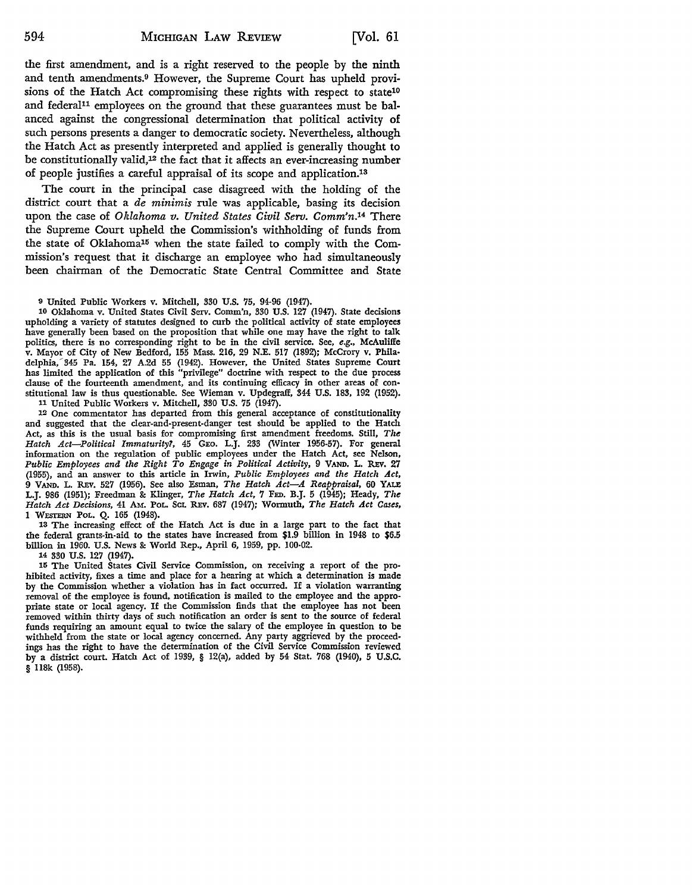the first amendment, and is a right reserved to the people by the ninth and tenth amendments.9 However, the Supreme Court has upheld provisions of the Hatch Act compromising these rights with respect to state<sup>10</sup> and federal<sup>11</sup> employees on the ground that these guarantees must be balanced against the congressional determination that political activity of such persons presents a danger to democratic society. Nevertheless, although the Hatch Act as presently interpreted and applied is generally thought to be constitutionally valid,12 the fact that it affects an ever-increasing number of people justifies a careful appraisal of its scope and application.13

The court in the principal case disagreed with the holding of the district court that a *de minimis* rule was applicable, basing its decision upon the case of *Oklahoma v. United States Civil Serv. Comm'n.14* There the Supreme Court upheld the Commission's withholding of funds from the state of Oklahoma15 when the state failed to comply with the Commission's request that it discharge an employee who had simultaneously been chairman of the Democratic State Central Committee and State

10 Oklahoma v. United States Civil Serv. Comm'n, 330 U.S. 127 (1947). State decisions upholding a variety of statutes designed to curb the political activity of state employees have generally been based on the proposition that while one may have the right to talk politics, there is no corresponding right to be in the civil service. See, *e.g.,* McAuliffe v. Mayor of City of New Bedford, 155 Mass. 216, 29 N.E. 517 (1892); McCrory v. Phila• delphia,'345 Pa. 154, 27 A.2d 55 (1942). However, the United States Supreme Court has limited the application of this "privilege" doctrine with respect to the due process clause of the fourteenth amendment, and its continuing efficacy in other areas of constitutional law is thus questionable. See Wieman v. Updegraff, 344 U.S. 183, 192 (1952).

11 United Public Workers v. Mitchell, 330 U.S. 75 (1947).

12 One commentator has departed from this general acceptance of constitutionality and suggested that the clear-and-present-danger test should be applied to the Hatch Act, as this is the usual basis for compromising first amendment freedoms. Still, *The Hatch Act-Political Immaturity?,* 45 GEO. L.J. 233 (Winter 1956-57). For general information on the regnlation of public employees under the Hatch Act, see Nelson, *Public Employees and the Right To Engage in Political Activity,* 9 VAND. L. REY. 27 (1955), and an answer to this article in Irwin, *Public Employees and the Hatch Act,*  9 V AND. L. REv. 527 (1956). See also Esman, *The Hatch Act-A Reappraisal,* 60 YALE L.J. 986 (1951); Freedman & Klinger, *The Hatch Act,* 7 FED. B.J. 5 (1945); Heady, *The Hatch Act Decisions,* 41 AM. PoL. ScL REY. 687 (1947); Wormuth, *The Hatch Act Cases,*  1 WESTERN POL. Q. 165 (1948).

13 The increasing effect of the Hatch Act is due in a large part to the fact that the federal grants-in-aid to the states have increased from \$1.9 billion in 1948 to \$6.5 billion in 1960. U.S. News & World Rep., April 6, 1959, pp. 100-02.

14 330 U.S. 127 (1947).

15 The United States Civil Service Commission, on receiving a report of the prohibited activity, fixes a time and place for a hearing at which a determination is made by the Commission whether a violation has in fact occurred. If a violation warranting removal of the employee is found, notification is mailed to the employee and the appro• priate state or local agency. If the Commission finds that the employee has not been removed within thirty days of such notification an order is sent to the source of federal funds requiring an amount equal to twice the salary of the employee in question to be withheld from the state or local agency concerned. Any party aggrieved by the proceedings has the right to have the determination of the Civil Service Commission reviewed by a district court. Hatch Act of 1939, § 12(a), added by 54 Stat. 768 (1940), 5 U.S.C. § 118k (1958).

<sup>9</sup> United Public Workers v. Mitchell, 330 U.S. 75, 94-96 (1947).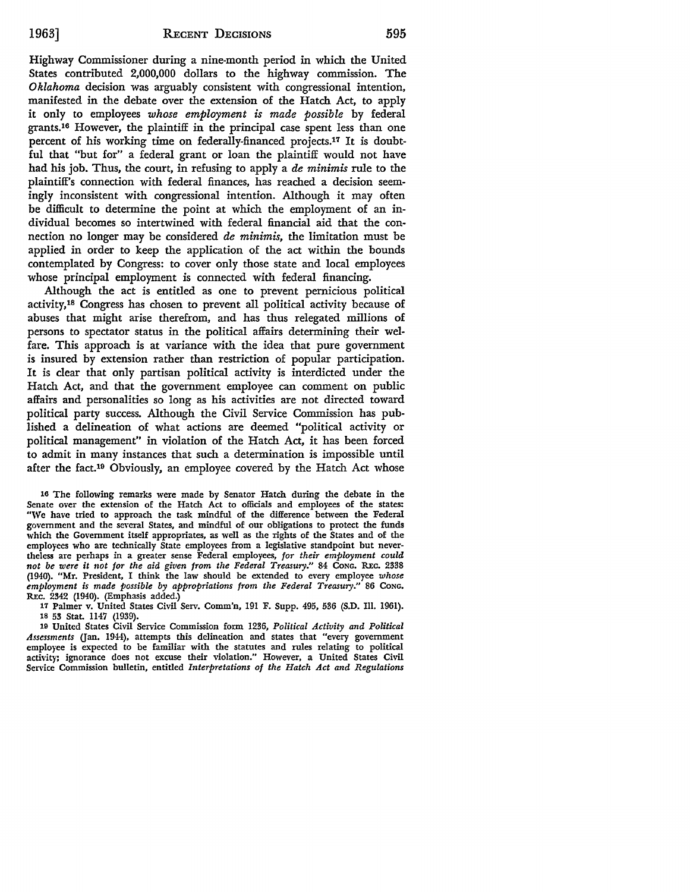Highway Commissioner during a nine-month period in which the United States contributed 2,000,000 dollars to the highway commission. The *Oklahoma* decision was arguably consistent with congressional intention, manifested in the debate over the extension of the Hatch Act, to apply it only to employees *whose employment is made possible* by federal grants.16 However, the plaintiff in the principal case spent less than one percent of his working time on federally-financed projects.17 It is doubtful that "but for" a federal grant or loan the plaintiff would not have had his job. Thus, the court, in refusing to apply a *de minimis* rule to the plaintiff's connection with federal finances, has reached a decision seemingly inconsistent with congressional intention. Although it may often be difficult to determine the point at which the employment of an individual becomes so intertwined with federal financial aid that the connection no longer may be considered *de minimis,* the limitation must be applied in order to keep the application of the act within the bounds contemplated by Congress: to cover only those state and local employees whose principal employment is connected with federal financing.

Although the act is entitled as one to prevent pernicious political activity,18 Congress has chosen to prevent all political activity because of abuses that might arise therefrom, and has thus relegated millions of persons to spectator status in the political affairs determining their welfare. This approach is at variance with the idea that pure government is insured by extension rather than restriction of popular participation. It is clear that only partisan political activity is interdicted under the Hatch Act, and that the government employee can comment on public affairs and personalities so long as his activities are not directed toward political party success. Although the Civil Service Commission has published a delineation of what actions are deemed "political activity or political management" in violation of the Hatch Act, it has been forced to admit in many instances that such a determination is impossible until after the fact.19 Obviously, an employee covered by the Hatch Act whose

16 The following remarks were made by Senator Hatch during the debate in the Senate over the extension of the Hatch Act to officials and employees of the states: "We have tried to approach the task mindful of the difference between the Federal government and the several States, and mindful of our obligations to protect the funds which the Government itself appropriates, as well as the rights of the States and of the employees who are technically State employees from a legislative standpoint but nevertheless are perhaps in a greater sense Federal employees, *for their employment could not be were it not for the aid given from the Federal Treasury."* 84 CoNG. REc. 2338 (1940). "Mr. President, I think the law should be extended to every employee *whose employment is made possible by appropriations from the Federal Treasury."* 86 CONG, REc. 2342 (1940). (Emphasis added.)

17 Palmer v. United States Civil Serv. Comm'n, 191 F. Supp. 495, 536 (S.D. Ill. 1961). 1s 53 Stat. 1147 (1939).

10 United States Civil Service Commission form 1236, *Political Activity and Political*  Assessments (Jan. 1944), attempts this delineation and states that "every government employee is expected to be familiar with the statutes and rules relating to political activity; ignorance does not excuse their violation." However, a United States Civil Service Commission bulletin, entitled *Interpretations of the Hatch Act and Regulations*